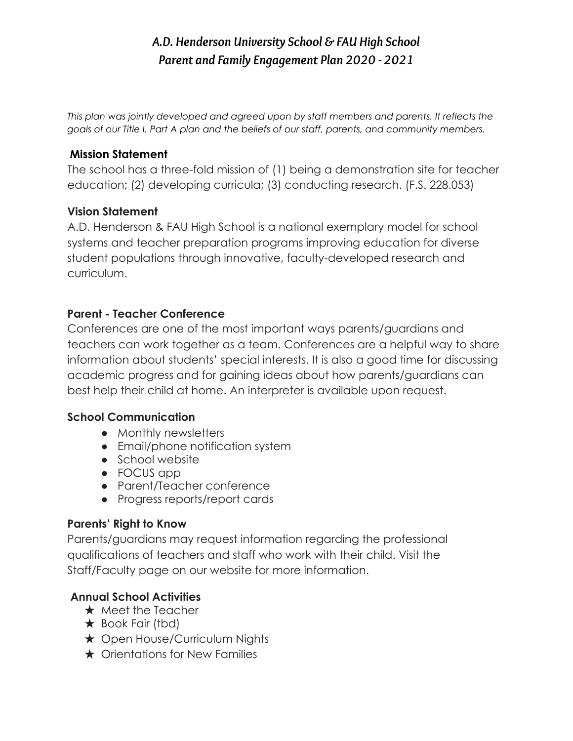## *A.D. Henderson University School & FAU High School Parent and Family Engagement Plan 2020 - 2021*

*This plan was jointly developed and agreed upon by staff members and parents. It reflects the goals of our Title I, Part A plan and the beliefs of our staff, parents, and community members.*

### **Mission Statement**

The school has a three-fold mission of (1) being a demonstration site for teacher education; (2) developing curricula; (3) conducting research. (F.S. 228.053)

### **Vision Statement**

A.D. Henderson & FAU High School is a national exemplary model for school systems and teacher preparation programs improving education for diverse student populations through innovative, faculty-developed research and curriculum.

### **Parent - Teacher Conference**

Conferences are one of the most important ways parents/guardians and teachers can work together as a team. Conferences are a helpful way to share information about students' special interests. It is also a good time for discussing academic progress and for gaining ideas about how parents/guardians can best help their child at home. An interpreter is available upon request.

#### **School Communication**

- Monthly newsletters
- Email/phone notification system
- School website
- FOCUS app
- Parent/Teacher conference
- Progress reports/report cards

## **Parents' Right to Know**

Parents/guardians may request information regarding the professional qualifications of teachers and staff who work with their child. Visit the Staff/Faculty page on our website for more information.

## **Annual School Activities**

- $\star$  Meet the Teacher
- ★ Book Fair (tbd)
- ★ Open House/Curriculum Nights
- **★ Orientations for New Families**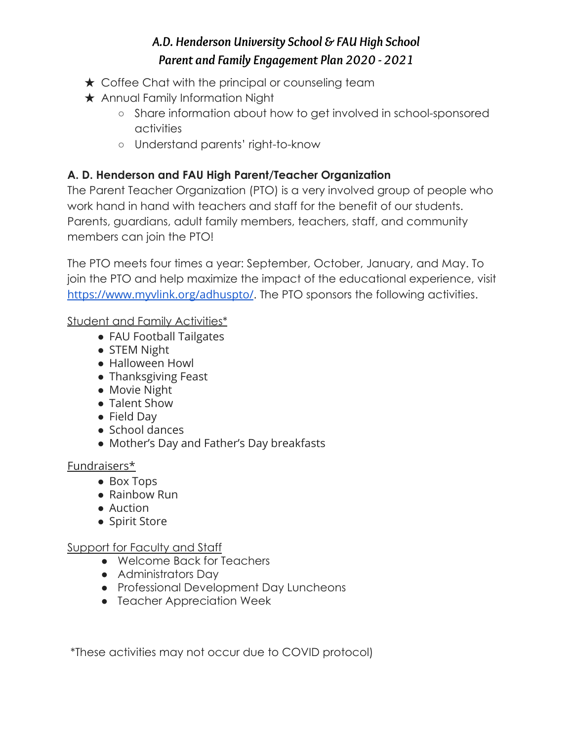# *A.D. Henderson University School & FAU High School Parent and Family Engagement Plan 2020 - 2021*

- $\star$  Coffee Chat with the principal or counseling team
- **★ Annual Family Information Night** 
	- Share information about how to get involved in school-sponsored activities
	- Understand parents' right-to-know

## **A. D. Henderson and FAU High Parent/Teacher Organization**

The Parent Teacher Organization (PTO) is a very involved group of people who work hand in hand with teachers and staff for the benefit of our students. Parents, guardians, adult family members, teachers, staff, and community members can join the PTO!

The PTO meets four times a year: September, October, January, and May. To join the PTO and help maximize the impact of the educational experience, visit <https://www.myvlink.org/adhuspto/>. The PTO sponsors the following activities.

Student and Family Activities\*

- FAU Football Tailgates
- STEM Night
- Halloween Howl
- Thanksgiving Feast
- Movie Night
- Talent Show
- Field Day
- School dances
- Mother's Day and Father's Day breakfasts

## Fundraisers\*

- Box Tops
- Rainbow Run
- Auction
- Spirit Store

## Support for Faculty and Staff

- Welcome Back for Teachers
- Administrators Day
- Professional Development Day Luncheons
- Teacher Appreciation Week

\*These activities may not occur due to COVID protocol)